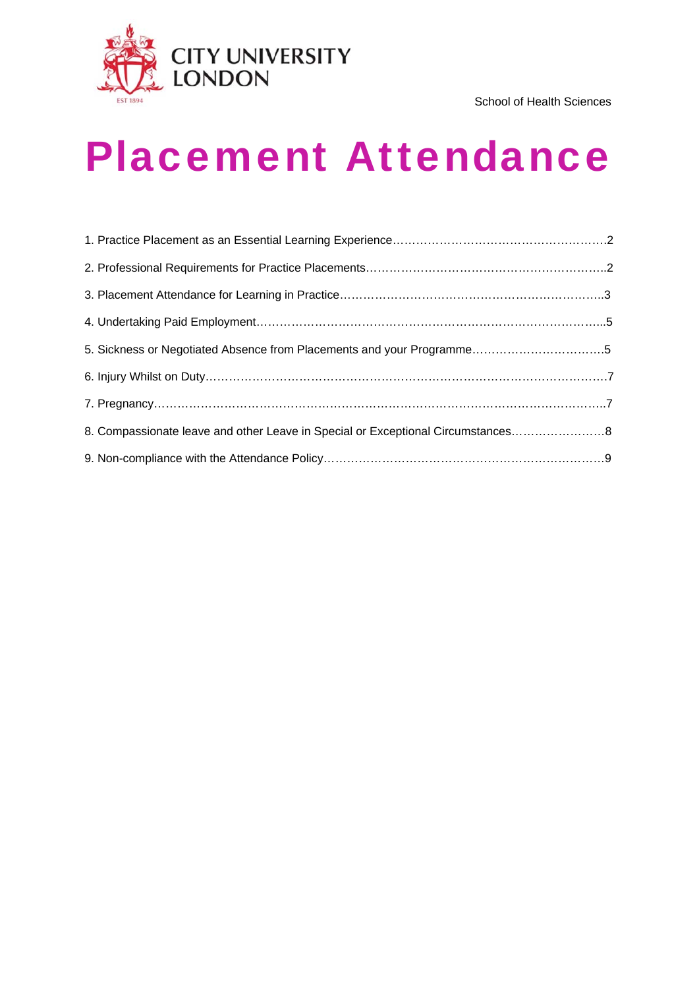

# Placement Attendance

| 5. Sickness or Negotiated Absence from Placements and your Programme5           |  |
|---------------------------------------------------------------------------------|--|
|                                                                                 |  |
|                                                                                 |  |
| 8. Compassionate leave and other Leave in Special or Exceptional Circumstances8 |  |
|                                                                                 |  |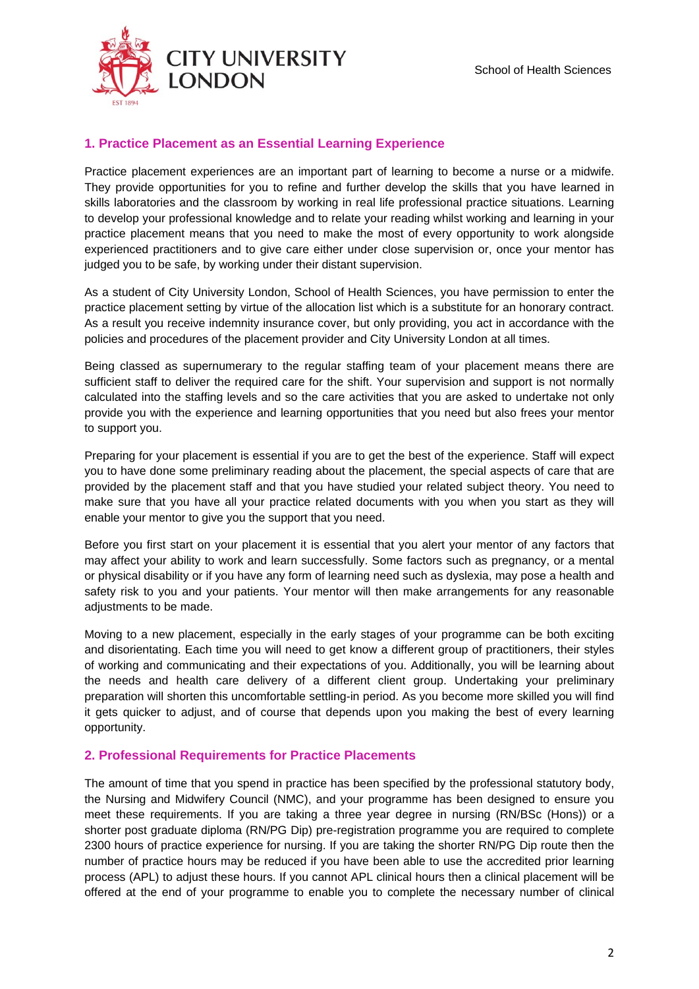

# **1. Practice Placement as an Essential Learning Experience**

Practice placement experiences are an important part of learning to become a nurse or a midwife. They provide opportunities for you to refine and further develop the skills that you have learned in skills laboratories and the classroom by working in real life professional practice situations. Learning to develop your professional knowledge and to relate your reading whilst working and learning in your practice placement means that you need to make the most of every opportunity to work alongside experienced practitioners and to give care either under close supervision or, once your mentor has judged you to be safe, by working under their distant supervision.

As a student of City University London, School of Health Sciences, you have permission to enter the practice placement setting by virtue of the allocation list which is a substitute for an honorary contract. As a result you receive indemnity insurance cover, but only providing, you act in accordance with the policies and procedures of the placement provider and City University London at all times.

Being classed as supernumerary to the regular staffing team of your placement means there are sufficient staff to deliver the required care for the shift. Your supervision and support is not normally calculated into the staffing levels and so the care activities that you are asked to undertake not only provide you with the experience and learning opportunities that you need but also frees your mentor to support you.

Preparing for your placement is essential if you are to get the best of the experience. Staff will expect you to have done some preliminary reading about the placement, the special aspects of care that are provided by the placement staff and that you have studied your related subject theory. You need to make sure that you have all your practice related documents with you when you start as they will enable your mentor to give you the support that you need.

Before you first start on your placement it is essential that you alert your mentor of any factors that may affect your ability to work and learn successfully. Some factors such as pregnancy, or a mental or physical disability or if you have any form of learning need such as dyslexia, may pose a health and safety risk to you and your patients. Your mentor will then make arrangements for any reasonable adjustments to be made.

Moving to a new placement, especially in the early stages of your programme can be both exciting and disorientating. Each time you will need to get know a different group of practitioners, their styles of working and communicating and their expectations of you. Additionally, you will be learning about the needs and health care delivery of a different client group. Undertaking your preliminary preparation will shorten this uncomfortable settling-in period. As you become more skilled you will find it gets quicker to adjust, and of course that depends upon you making the best of every learning opportunity.

# **2. Professional Requirements for Practice Placements**

The amount of time that you spend in practice has been specified by the professional statutory body, the Nursing and Midwifery Council (NMC), and your programme has been designed to ensure you meet these requirements. If you are taking a three year degree in nursing (RN/BSc (Hons)) or a shorter post graduate diploma (RN/PG Dip) pre-registration programme you are required to complete 2300 hours of practice experience for nursing. If you are taking the shorter RN/PG Dip route then the number of practice hours may be reduced if you have been able to use the accredited prior learning process (APL) to adjust these hours. If you cannot APL clinical hours then a clinical placement will be offered at the end of your programme to enable you to complete the necessary number of clinical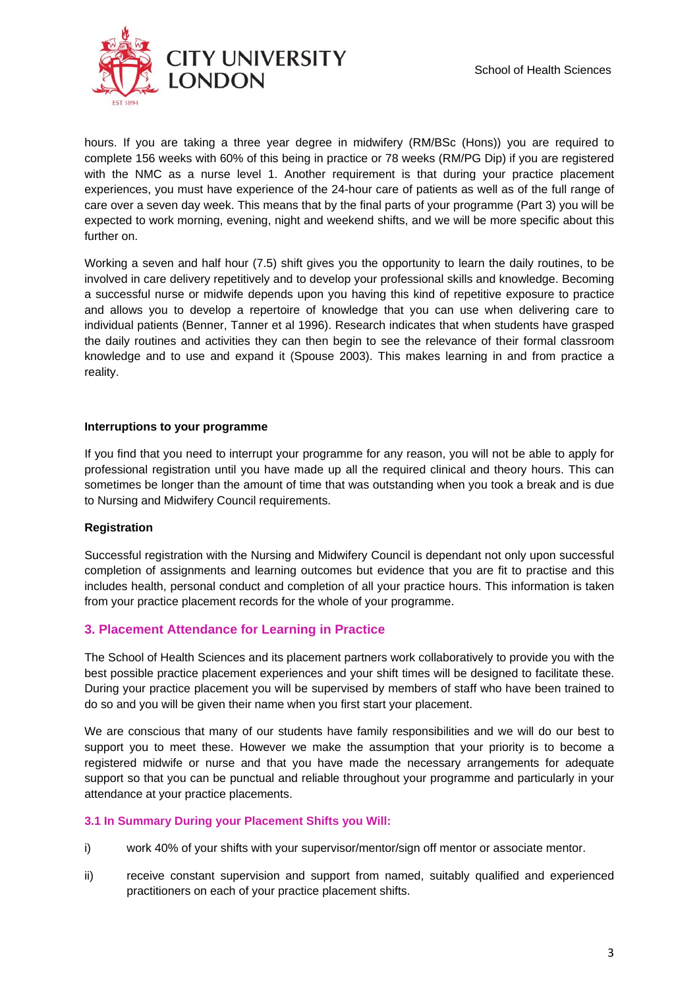

hours. If you are taking a three year degree in midwifery (RM/BSc (Hons)) you are required to complete 156 weeks with 60% of this being in practice or 78 weeks (RM/PG Dip) if you are registered with the NMC as a nurse level 1. Another requirement is that during your practice placement experiences, you must have experience of the 24-hour care of patients as well as of the full range of care over a seven day week. This means that by the final parts of your programme (Part 3) you will be expected to work morning, evening, night and weekend shifts, and we will be more specific about this further on.

Working a seven and half hour (7.5) shift gives you the opportunity to learn the daily routines, to be involved in care delivery repetitively and to develop your professional skills and knowledge. Becoming a successful nurse or midwife depends upon you having this kind of repetitive exposure to practice and allows you to develop a repertoire of knowledge that you can use when delivering care to individual patients (Benner, Tanner et al 1996). Research indicates that when students have grasped the daily routines and activities they can then begin to see the relevance of their formal classroom knowledge and to use and expand it (Spouse 2003). This makes learning in and from practice a reality.

### **Interruptions to your programme**

If you find that you need to interrupt your programme for any reason, you will not be able to apply for professional registration until you have made up all the required clinical and theory hours. This can sometimes be longer than the amount of time that was outstanding when you took a break and is due to Nursing and Midwifery Council requirements.

# **Registration**

Successful registration with the Nursing and Midwifery Council is dependant not only upon successful completion of assignments and learning outcomes but evidence that you are fit to practise and this includes health, personal conduct and completion of all your practice hours. This information is taken from your practice placement records for the whole of your programme.

# **3. Placement Attendance for Learning in Practice**

The School of Health Sciences and its placement partners work collaboratively to provide you with the best possible practice placement experiences and your shift times will be designed to facilitate these. During your practice placement you will be supervised by members of staff who have been trained to do so and you will be given their name when you first start your placement.

We are conscious that many of our students have family responsibilities and we will do our best to support you to meet these. However we make the assumption that your priority is to become a registered midwife or nurse and that you have made the necessary arrangements for adequate support so that you can be punctual and reliable throughout your programme and particularly in your attendance at your practice placements.

#### **3.1 In Summary During your Placement Shifts you Will:**

- i) work 40% of your shifts with your supervisor/mentor/sign off mentor or associate mentor.
- ii) receive constant supervision and support from named, suitably qualified and experienced practitioners on each of your practice placement shifts.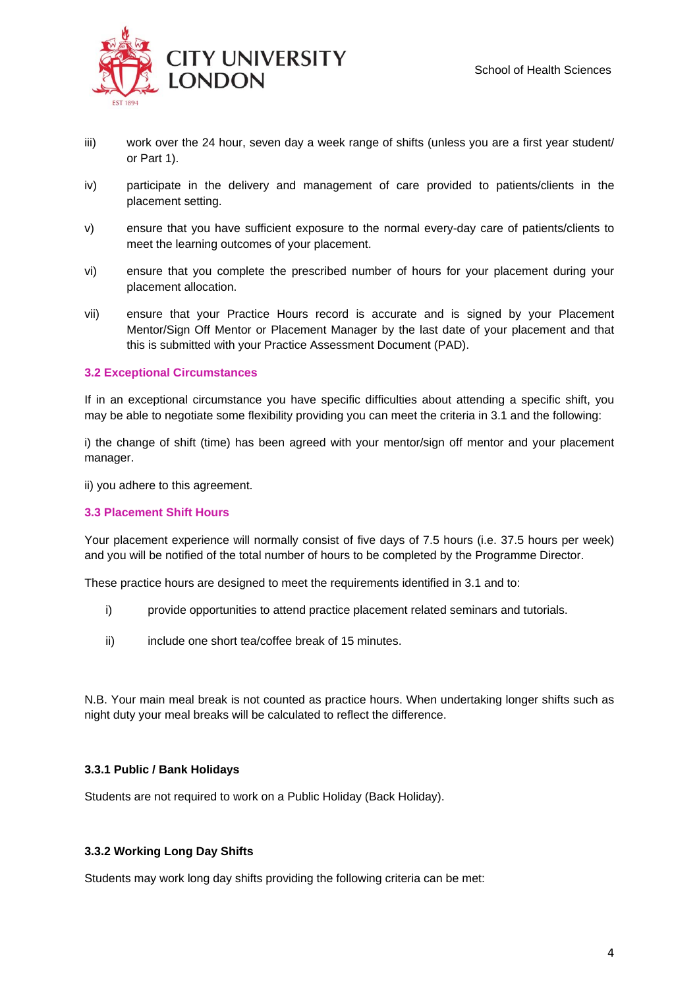

- iii) work over the 24 hour, seven day a week range of shifts (unless you are a first year student/ or Part 1).
- iv) participate in the delivery and management of care provided to patients/clients in the placement setting.
- v) ensure that you have sufficient exposure to the normal every-day care of patients/clients to meet the learning outcomes of your placement.
- vi) ensure that you complete the prescribed number of hours for your placement during your placement allocation.
- vii) ensure that your Practice Hours record is accurate and is signed by your Placement Mentor/Sign Off Mentor or Placement Manager by the last date of your placement and that this is submitted with your Practice Assessment Document (PAD).

#### **3.2 Exceptional Circumstances**

If in an exceptional circumstance you have specific difficulties about attending a specific shift, you may be able to negotiate some flexibility providing you can meet the criteria in 3.1 and the following:

i) the change of shift (time) has been agreed with your mentor/sign off mentor and your placement manager.

ii) you adhere to this agreement.

#### **3.3 Placement Shift Hours**

Your placement experience will normally consist of five days of 7.5 hours (i.e. 37.5 hours per week) and you will be notified of the total number of hours to be completed by the Programme Director.

These practice hours are designed to meet the requirements identified in 3.1 and to:

- i) provide opportunities to attend practice placement related seminars and tutorials.
- ii) include one short tea/coffee break of 15 minutes.

N.B. Your main meal break is not counted as practice hours. When undertaking longer shifts such as night duty your meal breaks will be calculated to reflect the difference.

#### **3.3.1 Public / Bank Holidays**

Students are not required to work on a Public Holiday (Back Holiday).

#### **3.3.2 Working Long Day Shifts**

Students may work long day shifts providing the following criteria can be met: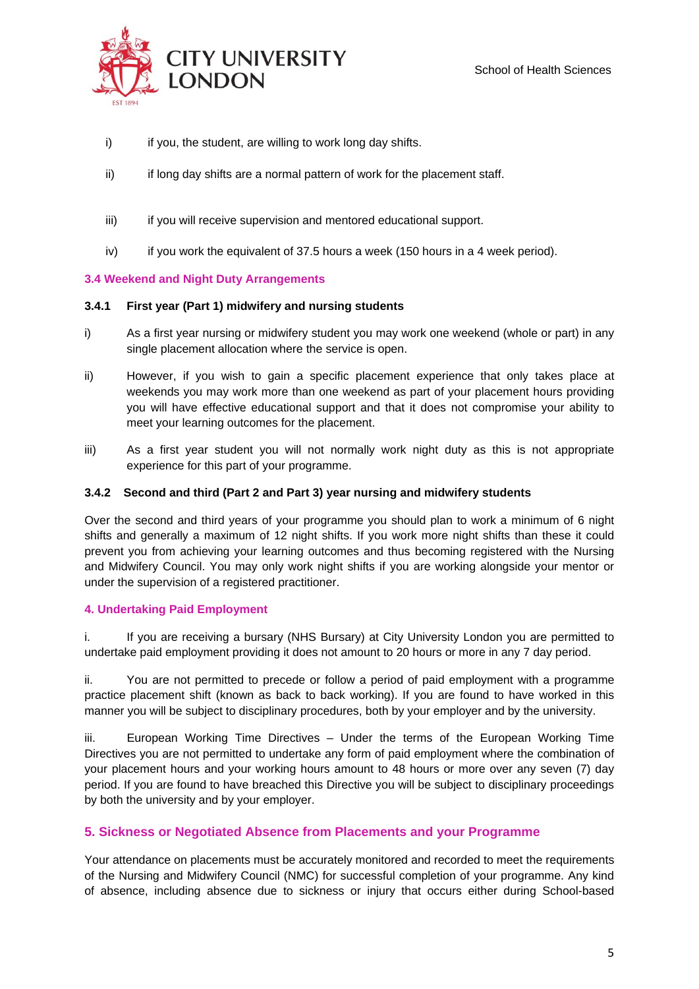

- i) if you, the student, are willing to work long day shifts.
- ii) if long day shifts are a normal pattern of work for the placement staff.
- iii) iii) if you will receive supervision and mentored educational support.
- iv) if you work the equivalent of 37.5 hours a week (150 hours in a 4 week period).

# **3.4 Weekend and Night Duty Arrangements**

# **3.4.1 First year (Part 1) midwifery and nursing students**

- i) As a first year nursing or midwifery student you may work one weekend (whole or part) in any single placement allocation where the service is open.
- ii) However, if you wish to gain a specific placement experience that only takes place at weekends you may work more than one weekend as part of your placement hours providing you will have effective educational support and that it does not compromise your ability to meet your learning outcomes for the placement.
- iii) As a first year student you will not normally work night duty as this is not appropriate experience for this part of your programme.

# **3.4.2 Second and third (Part 2 and Part 3) year nursing and midwifery students**

Over the second and third years of your programme you should plan to work a minimum of 6 night shifts and generally a maximum of 12 night shifts. If you work more night shifts than these it could prevent you from achieving your learning outcomes and thus becoming registered with the Nursing and Midwifery Council. You may only work night shifts if you are working alongside your mentor or under the supervision of a registered practitioner.

# **4. Undertaking Paid Employment**

i. If you are receiving a bursary (NHS Bursary) at City University London you are permitted to undertake paid employment providing it does not amount to 20 hours or more in any 7 day period.

ii. You are not permitted to precede or follow a period of paid employment with a programme practice placement shift (known as back to back working). If you are found to have worked in this manner you will be subject to disciplinary procedures, both by your employer and by the university.

iii. European Working Time Directives – Under the terms of the European Working Time Directives you are not permitted to undertake any form of paid employment where the combination of your placement hours and your working hours amount to 48 hours or more over any seven (7) day period. If you are found to have breached this Directive you will be subject to disciplinary proceedings by both the university and by your employer.

# **5. Sickness or Negotiated Absence from Placements and your Programme**

Your attendance on placements must be accurately monitored and recorded to meet the requirements of the Nursing and Midwifery Council (NMC) for successful completion of your programme. Any kind of absence, including absence due to sickness or injury that occurs either during School-based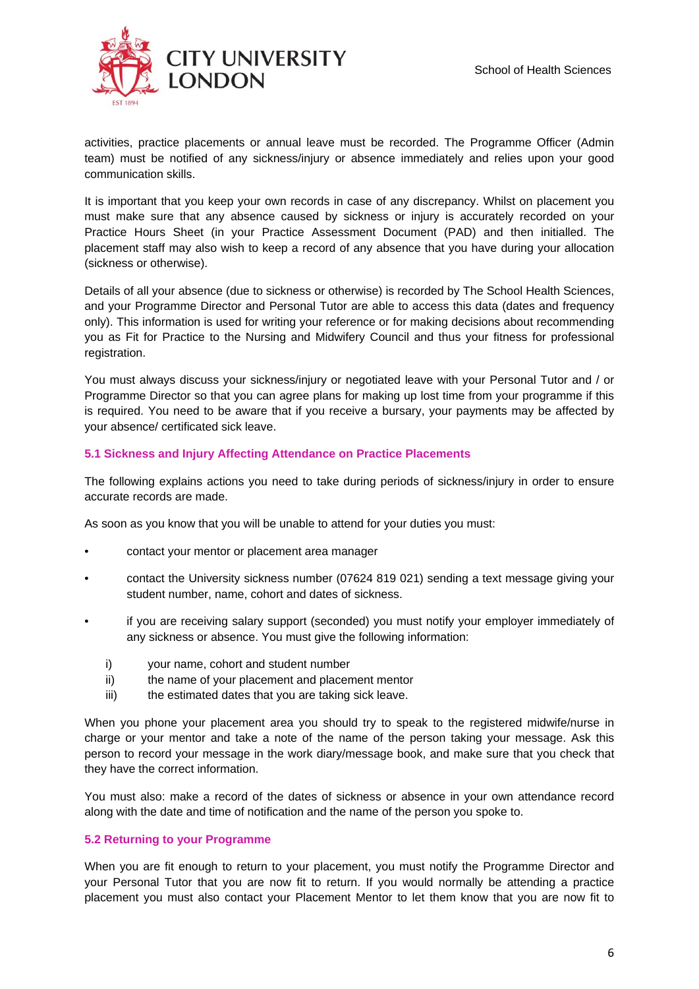

activities, practice placements or annual leave must be recorded. The Programme Officer (Admin team) must be notified of any sickness/injury or absence immediately and relies upon your good communication skills.

It is important that you keep your own records in case of any discrepancy. Whilst on placement you must make sure that any absence caused by sickness or injury is accurately recorded on your Practice Hours Sheet (in your Practice Assessment Document (PAD) and then initialled. The placement staff may also wish to keep a record of any absence that you have during your allocation (sickness or otherwise).

Details of all your absence (due to sickness or otherwise) is recorded by The School Health Sciences, and your Programme Director and Personal Tutor are able to access this data (dates and frequency only). This information is used for writing your reference or for making decisions about recommending you as Fit for Practice to the Nursing and Midwifery Council and thus your fitness for professional registration.

You must always discuss your sickness/injury or negotiated leave with your Personal Tutor and / or Programme Director so that you can agree plans for making up lost time from your programme if this is required. You need to be aware that if you receive a bursary, your payments may be affected by your absence/ certificated sick leave.

#### **5.1 Sickness and Injury Affecting Attendance on Practice Placements**

The following explains actions you need to take during periods of sickness/injury in order to ensure accurate records are made.

As soon as you know that you will be unable to attend for your duties you must:

- contact your mentor or placement area manager
- contact the University sickness number (07624 819 021) sending a text message giving your student number, name, cohort and dates of sickness.
- if you are receiving salary support (seconded) you must notify your employer immediately of any sickness or absence. You must give the following information:
	- i) your name, cohort and student number
	- ii) the name of your placement and placement mentor
	- iii) the estimated dates that you are taking sick leave.

When you phone your placement area you should try to speak to the registered midwife/nurse in charge or your mentor and take a note of the name of the person taking your message. Ask this person to record your message in the work diary/message book, and make sure that you check that they have the correct information.

You must also: make a record of the dates of sickness or absence in your own attendance record along with the date and time of notification and the name of the person you spoke to.

#### **5.2 Returning to your Programme**

When you are fit enough to return to your placement, you must notify the Programme Director and your Personal Tutor that you are now fit to return. If you would normally be attending a practice placement you must also contact your Placement Mentor to let them know that you are now fit to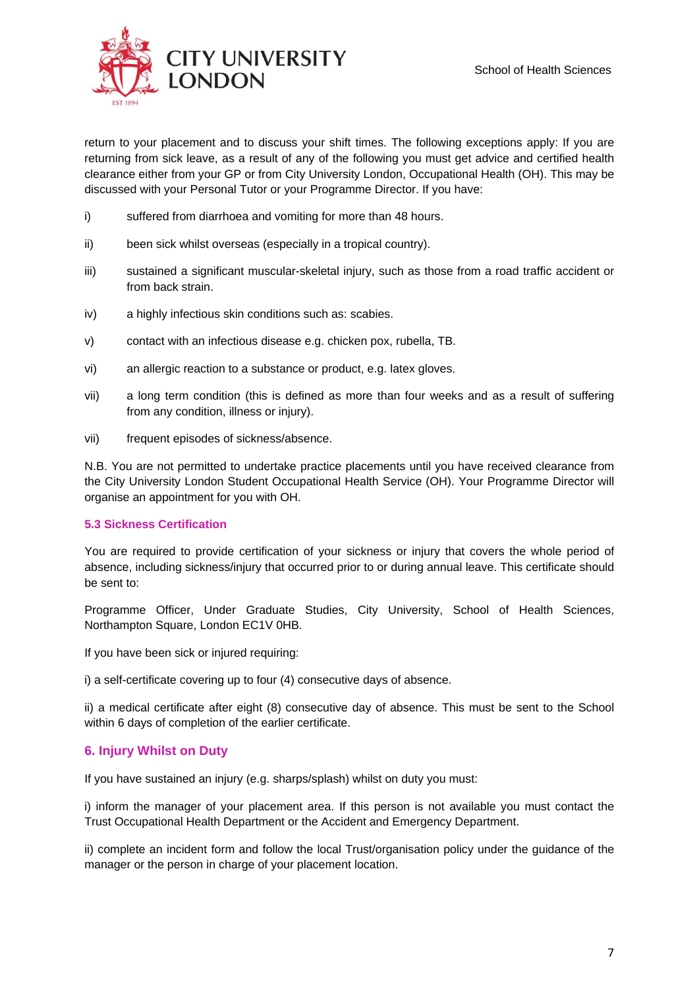

return to your placement and to discuss your shift times. The following exceptions apply: If you are returning from sick leave, as a result of any of the following you must get advice and certified health clearance either from your GP or from City University London, Occupational Health (OH). This may be discussed with your Personal Tutor or your Programme Director. If you have:

- i) suffered from diarrhoea and vomiting for more than 48 hours.
- ii) been sick whilst overseas (especially in a tropical country).
- iii) sustained a significant muscular-skeletal injury, such as those from a road traffic accident or from back strain.
- iv) a highly infectious skin conditions such as: scabies.
- v) contact with an infectious disease e.g. chicken pox, rubella, TB.
- vi) an allergic reaction to a substance or product, e.g. latex gloves.
- vii) a long term condition (this is defined as more than four weeks and as a result of suffering from any condition, illness or injury).
- vii) frequent episodes of sickness/absence.

N.B. You are not permitted to undertake practice placements until you have received clearance from the City University London Student Occupational Health Service (OH). Your Programme Director will organise an appointment for you with OH.

#### **5.3 Sickness Certification**

You are required to provide certification of your sickness or injury that covers the whole period of absence, including sickness/injury that occurred prior to or during annual leave. This certificate should be sent to:

Programme Officer, Under Graduate Studies, City University, School of Health Sciences, Northampton Square, London EC1V 0HB.

If you have been sick or injured requiring:

i) a self-certificate covering up to four (4) consecutive days of absence.

ii) a medical certificate after eight (8) consecutive day of absence. This must be sent to the School within 6 days of completion of the earlier certificate.

# **6. Injury Whilst on Duty**

If you have sustained an injury (e.g. sharps/splash) whilst on duty you must:

i) inform the manager of your placement area. If this person is not available you must contact the Trust Occupational Health Department or the Accident and Emergency Department.

ii) complete an incident form and follow the local Trust/organisation policy under the guidance of the manager or the person in charge of your placement location.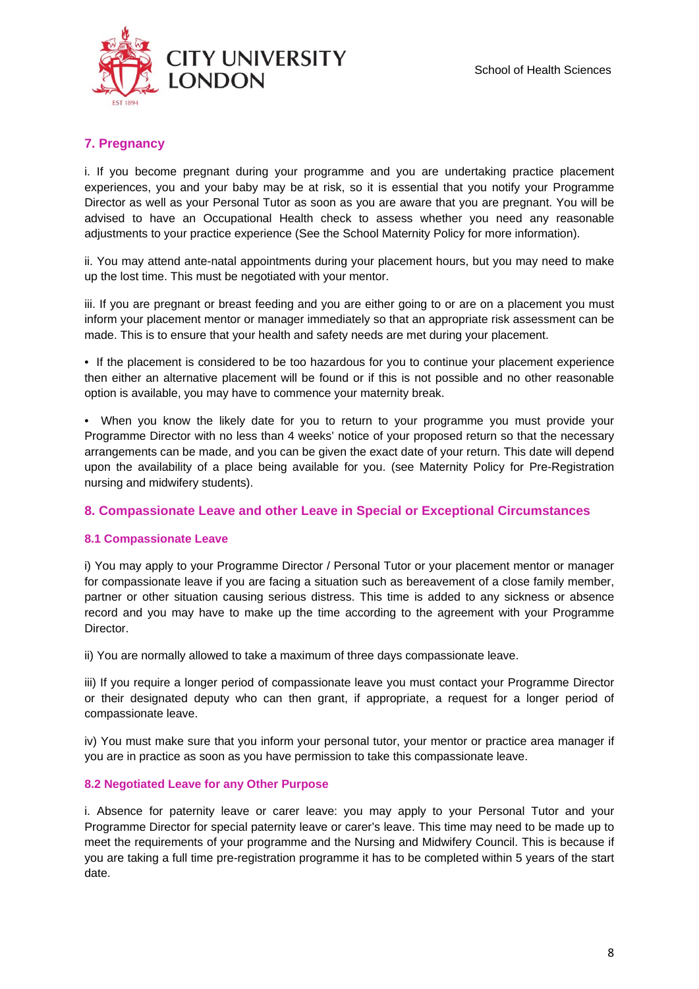

# **7. Pregnancy**

i. If you become pregnant during your programme and you are undertaking practice placement experiences, you and your baby may be at risk, so it is essential that you notify your Programme Director as well as your Personal Tutor as soon as you are aware that you are pregnant. You will be advised to have an Occupational Health check to assess whether you need any reasonable adjustments to your practice experience (See the School Maternity Policy for more information).

ii. You may attend ante-natal appointments during your placement hours, but you may need to make up the lost time. This must be negotiated with your mentor.

iii. If you are pregnant or breast feeding and you are either going to or are on a placement you must inform your placement mentor or manager immediately so that an appropriate risk assessment can be made. This is to ensure that your health and safety needs are met during your placement.

• If the placement is considered to be too hazardous for you to continue your placement experience then either an alternative placement will be found or if this is not possible and no other reasonable option is available, you may have to commence your maternity break.

• When you know the likely date for you to return to your programme you must provide your Programme Director with no less than 4 weeks' notice of your proposed return so that the necessary arrangements can be made, and you can be given the exact date of your return. This date will depend upon the availability of a place being available for you. (see Maternity Policy for Pre-Registration nursing and midwifery students).

#### **8. Compassionate Leave and other Leave in Special or Exceptional Circumstances**

#### **8.1 Compassionate Leave**

i) You may apply to your Programme Director / Personal Tutor or your placement mentor or manager for compassionate leave if you are facing a situation such as bereavement of a close family member, partner or other situation causing serious distress. This time is added to any sickness or absence record and you may have to make up the time according to the agreement with your Programme Director.

ii) You are normally allowed to take a maximum of three days compassionate leave.

iii) If you require a longer period of compassionate leave you must contact your Programme Director or their designated deputy who can then grant, if appropriate, a request for a longer period of compassionate leave.

iv) You must make sure that you inform your personal tutor, your mentor or practice area manager if you are in practice as soon as you have permission to take this compassionate leave.

#### **8.2 Negotiated Leave for any Other Purpose**

i. Absence for paternity leave or carer leave: you may apply to your Personal Tutor and your Programme Director for special paternity leave or carer's leave. This time may need to be made up to meet the requirements of your programme and the Nursing and Midwifery Council. This is because if you are taking a full time pre-registration programme it has to be completed within 5 years of the start date.